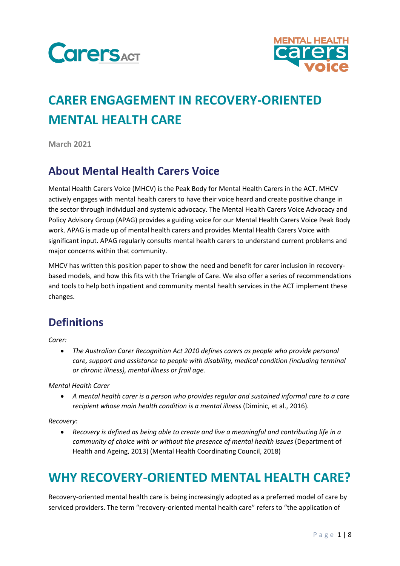



# **CARER ENGAGEMENT IN RECOVERY-ORIENTED MENTAL HEALTH CARE**

**March 2021**

#### **About Mental Health Carers Voice**

Mental Health Carers Voice (MHCV) is the Peak Body for Mental Health Carers in the ACT. MHCV actively engages with mental health carers to have their voice heard and create positive change in the sector through individual and systemic advocacy. The Mental Health Carers Voice Advocacy and Policy Advisory Group (APAG) provides a guiding voice for our Mental Health Carers Voice Peak Body work. APAG is made up of mental health carers and provides Mental Health Carers Voice with significant input. APAG regularly consults mental health carers to understand current problems and major concerns within that community.

MHCV has written this position paper to show the need and benefit for carer inclusion in recoverybased models, and how this fits with the Triangle of Care. We also offer a series of recommendations and tools to help both inpatient and community mental health services in the ACT implement these changes.

### **Definitions**

*Carer:* 

• *The Australian Carer Recognition Act 2010 defines carers as people who provide personal care, support and assistance to people with disability, medical condition (including terminal or chronic illness), mental illness or frail age.* 

*Mental Health Carer*

• *A mental health carer is a person who provides regular and sustained informal care to a care recipient whose main health condition is a mental illness* (Diminic, et al., 2016).

*Recovery:*

• *Recovery is defined as being able to create and live a meaningful and contributing life in a community of choice with or without the presence of mental health issues* (Department of Health and Ageing, 2013) (Mental Health Coordinating Council, 2018)

### **WHY RECOVERY-ORIENTED MENTAL HEALTH CARE?**

Recovery-oriented mental health care is being increasingly adopted as a preferred model of care by serviced providers. The term "recovery-oriented mental health care" refers to "the application of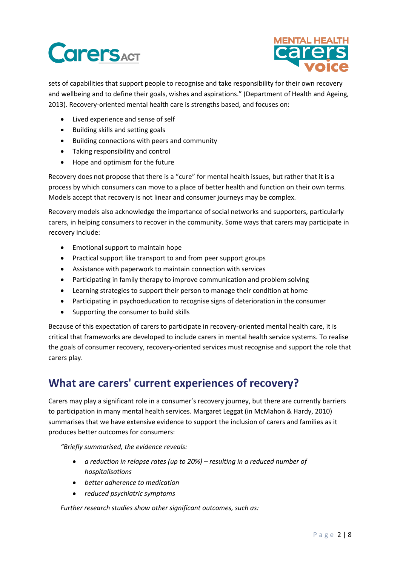# **CarersACT**



sets of capabilities that support people to recognise and take responsibility for their own recovery and wellbeing and to define their goals, wishes and aspirations." (Department of Health and Ageing, 2013). Recovery-oriented mental health care is strengths based, and focuses on:

- Lived experience and sense of self
- Building skills and setting goals
- Building connections with peers and community
- Taking responsibility and control
- Hope and optimism for the future

Recovery does not propose that there is a "cure" for mental health issues, but rather that it is a process by which consumers can move to a place of better health and function on their own terms. Models accept that recovery is not linear and consumer journeys may be complex.

Recovery models also acknowledge the importance of social networks and supporters, particularly carers, in helping consumers to recover in the community. Some ways that carers may participate in recovery include:

- Emotional support to maintain hope
- Practical support like transport to and from peer support groups
- Assistance with paperwork to maintain connection with services
- Participating in family therapy to improve communication and problem solving
- Learning strategies to support their person to manage their condition at home
- Participating in psychoeducation to recognise signs of deterioration in the consumer
- Supporting the consumer to build skills

Because of this expectation of carers to participate in recovery-oriented mental health care, it is critical that frameworks are developed to include carers in mental health service systems. To realise the goals of consumer recovery, recovery-oriented services must recognise and support the role that carers play.

### **What are carers' current experiences of recovery?**

Carers may play a significant role in a consumer's recovery journey, but there are currently barriers to participation in many mental health services. Margaret Leggat (in McMahon & Hardy, 2010) summarises that we have extensive evidence to support the inclusion of carers and families as it produces better outcomes for consumers:

*"Briefly summarised, the evidence reveals:*

- *a reduction in relapse rates (up to 20%) – resulting in a reduced number of hospitalisations*
- *better adherence to medication*
- *reduced psychiatric symptoms*

*Further research studies show other significant outcomes, such as:*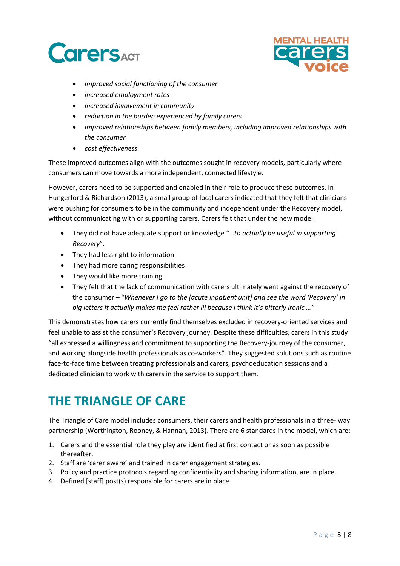



- *improved social functioning of the consumer*
- *increased employment rates*
- *increased involvement in community*
- *reduction in the burden experienced by family carers*
- *improved relationships between family members, including improved relationships with the consumer*
- *cost effectiveness*

These improved outcomes align with the outcomes sought in recovery models, particularly where consumers can move towards a more independent, connected lifestyle.

However, carers need to be supported and enabled in their role to produce these outcomes. In Hungerford & Richardson (2013), a small group of local carers indicated that they felt that clinicians were pushing for consumers to be in the community and independent under the Recovery model, without communicating with or supporting carers. Carers felt that under the new model:

- They did not have adequate support or knowledge "…*to actually be useful in supporting Recovery*".
- They had less right to information
- They had more caring responsibilities
- They would like more training
- They felt that the lack of communication with carers ultimately went against the recovery of the consumer – "*Whenever I go to the [acute inpatient unit] and see the word 'Recovery' in big letters it actually makes me feel rather ill because I think it's bitterly ironic …"*

This demonstrates how carers currently find themselves excluded in recovery-oriented services and feel unable to assist the consumer's Recovery journey. Despite these difficulties, carers in this study "all expressed a willingness and commitment to supporting the Recovery-journey of the consumer, and working alongside health professionals as co-workers". They suggested solutions such as routine face-to-face time between treating professionals and carers, psychoeducation sessions and a dedicated clinician to work with carers in the service to support them.

### **THE TRIANGLE OF CARE**

The Triangle of Care model includes consumers, their carers and health professionals in a three- way partnership (Worthington, Rooney, & Hannan, 2013). There are 6 standards in the model, which are:

- 1. Carers and the essential role they play are identified at first contact or as soon as possible thereafter.
- 2. Staff are 'carer aware' and trained in carer engagement strategies.
- 3. Policy and practice protocols regarding confidentiality and sharing information, are in place.
- 4. Defined [staff] post(s) responsible for carers are in place.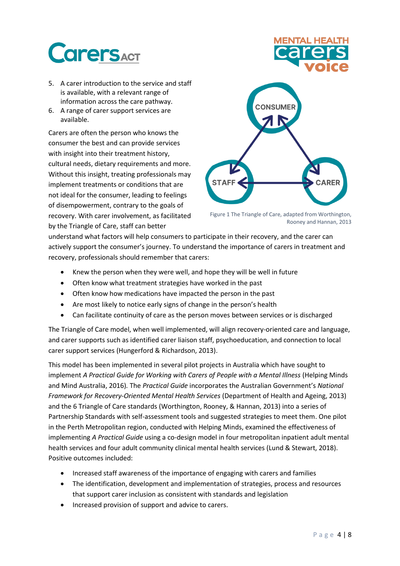# **CarersACT**

- 5. A carer introduction to the service and staff is available, with a relevant range of information across the care pathway.
- 6. A range of carer support services are available.

Carers are often the person who knows the consumer the best and can provide services with insight into their treatment history, cultural needs, dietary requirements and more. Without this insight, treating professionals may implement treatments or conditions that are not ideal for the consumer, leading to feelings of disempowerment, contrary to the goals of recovery. With carer involvement, as facilitated by the Triangle of Care, staff can better



Figure 1 The Triangle of Care, adapted from Worthington, Rooney and Hannan, 2013

understand what factors will help consumers to participate in their recovery, and the carer can actively support the consumer's journey. To understand the importance of carers in treatment and recovery, professionals should remember that carers:

- Knew the person when they were well, and hope they will be well in future
- Often know what treatment strategies have worked in the past
- Often know how medications have impacted the person in the past
- Are most likely to notice early signs of change in the person's health
- Can facilitate continuity of care as the person moves between services or is discharged

The Triangle of Care model, when well implemented, will align recovery-oriented care and language, and carer supports such as identified carer liaison staff, psychoeducation, and connection to local carer support services (Hungerford & Richardson, 2013).

This model has been implemented in several pilot projects in Australia which have sought to implement *A Practical Guide for Working with Carers of People with a Mental Illness* (Helping Minds and Mind Australia, 2016)*.* The *Practical Guide* incorporates the Australian Government's *National Framework for Recovery-Oriented Mental Health Services* (Department of Health and Ageing, 2013) and the 6 Triangle of Care standards (Worthington, Rooney, & Hannan, 2013) into a series of Partnership Standards with self-assessment tools and suggested strategies to meet them. One pilot in the Perth Metropolitan region, conducted with Helping Minds, examined the effectiveness of implementing *A Practical Guide* using a co-design model in four metropolitan inpatient adult mental health services and four adult community clinical mental health services (Lund & Stewart, 2018). Positive outcomes included:

- Increased staff awareness of the importance of engaging with carers and families
- The identification, development and implementation of strategies, process and resources that support carer inclusion as consistent with standards and legislation
- Increased provision of support and advice to carers.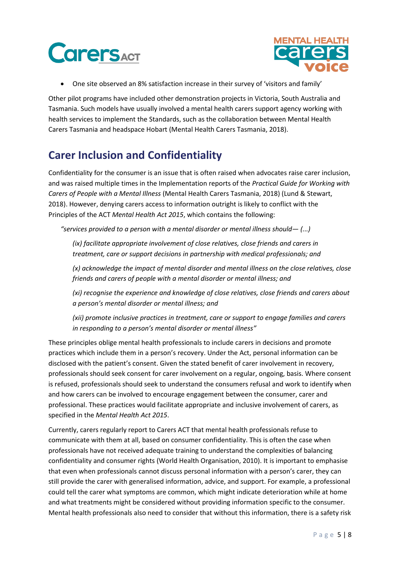



• One site observed an 8% satisfaction increase in their survey of 'visitors and family'

Other pilot programs have included other demonstration projects in Victoria, South Australia and Tasmania. Such models have usually involved a mental health carers support agency working with health services to implement the Standards, such as the collaboration between Mental Health Carers Tasmania and headspace Hobart (Mental Health Carers Tasmania, 2018).

### **Carer Inclusion and Confidentiality**

Confidentiality for the consumer is an issue that is often raised when advocates raise carer inclusion, and was raised multiple times in the Implementation reports of the *Practical Guide for Working with Carers of People with a Mental Illness* (Mental Health Carers Tasmania, 2018) (Lund & Stewart, 2018). However, denying carers access to information outright is likely to conflict with the Principles of the ACT *Mental Health Act 2015*, which contains the following:

*"services provided to a person with a mental disorder or mental illness should— (...)*

*(ix) facilitate appropriate involvement of close relatives, close friends and carers in treatment, care or support decisions in partnership with medical professionals; and* 

*(x) acknowledge the impact of mental disorder and mental illness on the close relatives, close friends and carers of people with a mental disorder or mental illness; and* 

*(xi) recognise the experience and knowledge of close relatives, close friends and carers about a person's mental disorder or mental illness; and* 

*(xii) promote inclusive practices in treatment, care or support to engage families and carers in responding to a person's mental disorder or mental illness"*

These principles oblige mental health professionals to include carers in decisions and promote practices which include them in a person's recovery. Under the Act, personal information can be disclosed with the patient's consent. Given the stated benefit of carer involvement in recovery, professionals should seek consent for carer involvement on a regular, ongoing, basis. Where consent is refused, professionals should seek to understand the consumers refusal and work to identify when and how carers can be involved to encourage engagement between the consumer, carer and professional. These practices would facilitate appropriate and inclusive involvement of carers, as specified in the *Mental Health Act 2015*.

Currently, carers regularly report to Carers ACT that mental health professionals refuse to communicate with them at all, based on consumer confidentiality. This is often the case when professionals have not received adequate training to understand the complexities of balancing confidentiality and consumer rights (World Health Organisation, 2010). It is important to emphasise that even when professionals cannot discuss personal information with a person's carer, they can still provide the carer with generalised information, advice, and support. For example, a professional could tell the carer what symptoms are common, which might indicate deterioration while at home and what treatments might be considered without providing information specific to the consumer. Mental health professionals also need to consider that without this information, there is a safety risk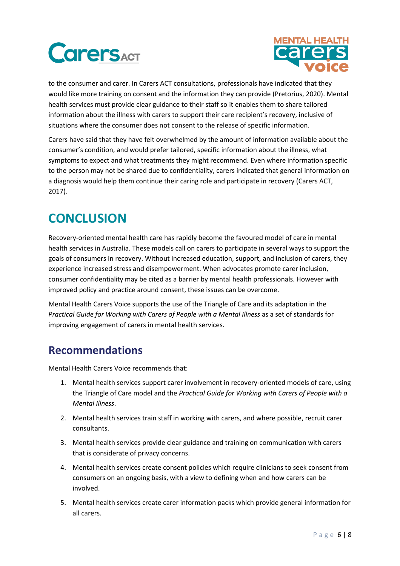



to the consumer and carer. In Carers ACT consultations, professionals have indicated that they would like more training on consent and the information they can provide (Pretorius, 2020). Mental health services must provide clear guidance to their staff so it enables them to share tailored information about the illness with carers to support their care recipient's recovery, inclusive of situations where the consumer does not consent to the release of specific information.

Carers have said that they have felt overwhelmed by the amount of information available about the consumer's condition, and would prefer tailored, specific information about the illness, what symptoms to expect and what treatments they might recommend. Even where information specific to the person may not be shared due to confidentiality, carers indicated that general information on a diagnosis would help them continue their caring role and participate in recovery (Carers ACT, 2017).

## **CONCLUSION**

Recovery-oriented mental health care has rapidly become the favoured model of care in mental health services in Australia. These models call on carers to participate in several ways to support the goals of consumers in recovery. Without increased education, support, and inclusion of carers, they experience increased stress and disempowerment. When advocates promote carer inclusion, consumer confidentiality may be cited as a barrier by mental health professionals. However with improved policy and practice around consent, these issues can be overcome.

Mental Health Carers Voice supports the use of the Triangle of Care and its adaptation in the *Practical Guide for Working with Carers of People with a Mental Illness* as a set of standards for improving engagement of carers in mental health services.

### **Recommendations**

Mental Health Carers Voice recommends that:

- 1. Mental health services support carer involvement in recovery-oriented models of care, using the Triangle of Care model and the *Practical Guide for Working with Carers of People with a Mental Illness*.
- 2. Mental health services train staff in working with carers, and where possible, recruit carer consultants.
- 3. Mental health services provide clear guidance and training on communication with carers that is considerate of privacy concerns.
- 4. Mental health services create consent policies which require clinicians to seek consent from consumers on an ongoing basis, with a view to defining when and how carers can be involved.
- 5. Mental health services create carer information packs which provide general information for all carers.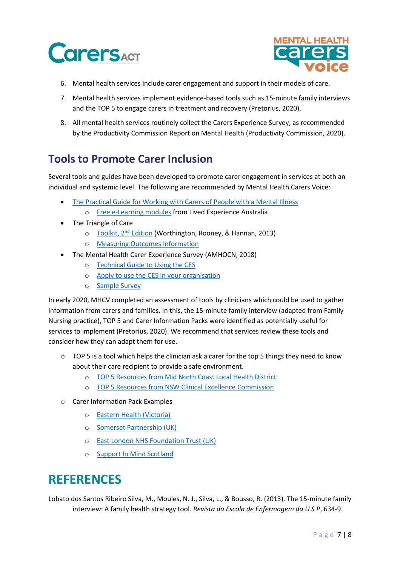



- 6. Mental health services include carer engagement and support in their models of care.
- 7. Mental health services implement evidence-based tools such as 15-minute family interviews and the TOP 5 to engage carers in treatment and recovery (Pretorius, 2020).
- 8. All mental health services routinely collect the Carers Experience Survey, as recommended by the Productivity Commission Report on Mental Health (Productivity Commission, 2020).

#### **Tools to Promote Carer Inclusion**

Several tools and guides have been developed to promote carer engagement in services at both an individual and systemic level. The following are recommended by Mental Health Carers Voice:

- [The Practical Guide for Working with Carers of People with a Mental Illness](https://www.carerguide.com.au/)
	- o [Free e-Learning modules](https://www.livedexperienceaustralia.com.au/training-carerguide) from Lived Experience Australia
- The Triangle of Care
	- o [Toolkit,](https://carers.org/downloads/resources-pdfs/triangle-of-care-england/the-triangle-of-care-carers-included-second-edition.pdf) 2<sup>nd</sup> Edition (Worthington, Rooney, & Hannan, 2013)
	- o [Measuring Outcomes Information](https://carers.org/downloads/resources-pdfs/triangle-of-care-england/measuring-outcomes-from-the-triangle-of-care.docx)
- The Mental Health Carer Experience Survey (AMHOCN, 2018)
	- o [Technical Guide to](https://www.amhocn.org/sites/default/files/publication_files/mh_ces_guidance_for_orgs_final_ver1_1_170911.pdf) Using the CES
	- o [Apply to use the CES in your organisation](https://www.amhocn.org/mental-health-carer-experience-survey-0)
	- o [Sample Survey](https://www.amhocn.org/sites/default/files/publication_files/mh_carer_experience_survey_sample.pdf)

In early 2020, MHCV completed an assessment of tools by clinicians which could be used to gather information from carers and families. In this, the 15-minute family interview (adapted from Family Nursing practice), TOP 5 and Carer Information Packs were identified as potentially useful for services to implement (Pretorius, 2020). We recommend that services review these tools and consider how they can adapt them for use.

- $\circ$  TOP 5 is a tool which helps the clinician ask a carer for the top 5 things they need to know about their care recipient to provide a safe environment.
	- o [TOP 5 Resources from Mid North Coast Local Health District](https://mnclhd.health.nsw.gov.au/top5/)
	- o [TOP 5 Resources from NSW Clinical Excellence Commission](https://www.cec.health.nsw.gov.au/improve-quality/person-centred-care/top5)
- o Carer Information Pack Examples
	- o [Eastern Health \(Victoria\)](https://www.easternhealth.org.au/images/services/ehamhs_information_for_familiescarers_august_2013.pdf)
	- o [Somerset Partnership \(UK\)](https://somersetcarers.org/wp-content/uploads/2018/02/Carers-Mental-Health-info-pack-March-2017-Master.pdf)
	- o [East London NHS Foundation Trust \(UK\)](https://www.elft.nhs.uk/uploads/files/1/Information%20Leaflets/Carers%20Leaflets/Carers-Pack%5b1%5d.pdf)
	- o [Support In Mind Scotland](https://www.supportinmindscotland.org.uk/carers-information-pack-information-for-carers-friends-and-families)

### **REFERENCES**

Lobato dos Santos Ribeiro Silva, M., Moules, N. J., Silva, L., & Bousso, R. (2013). The 15-minute family interview: A family health strategy tool. *Revista da Escola de Enfermagem da U S P*, 634-9.